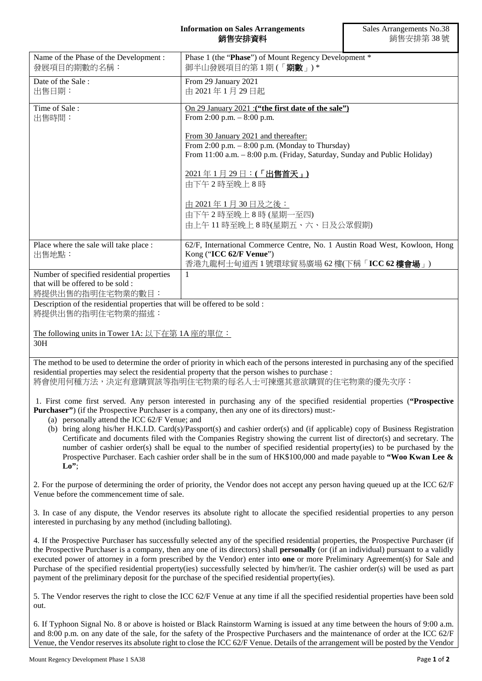## **Information on Sales Arrangements** 銷售安排資料

| Name of the Phase of the Development:<br>發展項目的期數的名稱:                                                                           | Phase 1 (the "Phase") of Mount Regency Development *<br>御半山發展項目的第1期(「期數」)*                                                                                                                                                                                                                                                                                                                                                                                                                                                                                                                                                                                  |
|--------------------------------------------------------------------------------------------------------------------------------|-------------------------------------------------------------------------------------------------------------------------------------------------------------------------------------------------------------------------------------------------------------------------------------------------------------------------------------------------------------------------------------------------------------------------------------------------------------------------------------------------------------------------------------------------------------------------------------------------------------------------------------------------------------|
| Date of the Sale:<br>出售日期:                                                                                                     | From 29 January 2021<br>由 2021年1月29日起                                                                                                                                                                                                                                                                                                                                                                                                                                                                                                                                                                                                                       |
| Time of Sale:<br>出售時間:                                                                                                         | On 29 January 2021 : ("the first date of the sale")<br>From 2:00 p.m. $-8:00$ p.m.                                                                                                                                                                                                                                                                                                                                                                                                                                                                                                                                                                          |
|                                                                                                                                | From 30 January 2021 and thereafter:<br>From $2:00$ p.m. $-8:00$ p.m. (Monday to Thursday)<br>From 11:00 a.m. - 8:00 p.m. (Friday, Saturday, Sunday and Public Holiday)                                                                                                                                                                                                                                                                                                                                                                                                                                                                                     |
|                                                                                                                                | <u> 2021年1月29日:(「出售首天」)</u><br>由下午2時至晚上8時                                                                                                                                                                                                                                                                                                                                                                                                                                                                                                                                                                                                                   |
|                                                                                                                                | <u>由 2021年1月30日及之後:</u><br>由下午2時至晚上8時(星期一至四)<br>由上午11時至晚上8時(星期五、六、日及公眾假期)                                                                                                                                                                                                                                                                                                                                                                                                                                                                                                                                                                                   |
| Place where the sale will take place :                                                                                         | 62/F, International Commerce Centre, No. 1 Austin Road West, Kowloon, Hong                                                                                                                                                                                                                                                                                                                                                                                                                                                                                                                                                                                  |
| 出售地點:                                                                                                                          | Kong ("ICC 62/F Venue")<br>香港九龍柯士甸道西1號環球貿易廣場 62 樓(下稱「ICC 62 樓會場」)                                                                                                                                                                                                                                                                                                                                                                                                                                                                                                                                                                                           |
| Number of specified residential properties<br>that will be offered to be sold :<br>將提供出售的指明住宅物業的數目:                            | 1                                                                                                                                                                                                                                                                                                                                                                                                                                                                                                                                                                                                                                                           |
| Description of the residential properties that will be offered to be sold :<br>將提供出售的指明住宅物業的描述:                                |                                                                                                                                                                                                                                                                                                                                                                                                                                                                                                                                                                                                                                                             |
| The following units in Tower 1A: 以下在第 1A 座的單位:<br>30H                                                                          |                                                                                                                                                                                                                                                                                                                                                                                                                                                                                                                                                                                                                                                             |
|                                                                                                                                | The method to be used to determine the order of priority in which each of the persons interested in purchasing any of the specified<br>residential properties may select the residential property that the person wishes to purchase :<br>將會使用何種方法,決定有意購買該等指明住宅物業的每名人士可揀選其意欲購買的住宅物業的優先次序:                                                                                                                                                                                                                                                                                                                                                                   |
| (a) personally attend the ICC 62/F Venue; and                                                                                  | 1. First come first served. Any person interested in purchasing any of the specified residential properties ("Prospective<br><b>Purchaser</b> ") (if the Prospective Purchaser is a company, then any one of its directors) must:-                                                                                                                                                                                                                                                                                                                                                                                                                          |
| $\mathbf{Lo}^{\prime\prime}$                                                                                                   | (b) bring along his/her H.K.I.D. Card(s)/Passport(s) and cashier order(s) and (if applicable) copy of Business Registration<br>Certificate and documents filed with the Companies Registry showing the current list of director(s) and secretary. The<br>number of cashier order(s) shall be equal to the number of specified residential property(ies) to be purchased by the<br>Prospective Purchaser. Each cashier order shall be in the sum of HK\$100,000 and made payable to "Woo Kwan Lee &                                                                                                                                                          |
| Venue before the commencement time of sale.                                                                                    | 2. For the purpose of determining the order of priority, the Vendor does not accept any person having queued up at the ICC 62/F                                                                                                                                                                                                                                                                                                                                                                                                                                                                                                                             |
| interested in purchasing by any method (including balloting).                                                                  | 3. In case of any dispute, the Vendor reserves its absolute right to allocate the specified residential properties to any person                                                                                                                                                                                                                                                                                                                                                                                                                                                                                                                            |
|                                                                                                                                | 4. If the Prospective Purchaser has successfully selected any of the specified residential properties, the Prospective Purchaser (if<br>the Prospective Purchaser is a company, then any one of its directors) shall <b>personally</b> (or (if an individual) pursuant to a validly<br>executed power of attorney in a form prescribed by the Vendor) enter into one or more Preliminary Agreement(s) for Sale and<br>Purchase of the specified residential property(ies) successfully selected by him/her/it. The cashier order(s) will be used as part<br>payment of the preliminary deposit for the purchase of the specified residential property(ies). |
| out.                                                                                                                           | 5. The Vendor reserves the right to close the ICC 62/F Venue at any time if all the specified residential properties have been sold                                                                                                                                                                                                                                                                                                                                                                                                                                                                                                                         |
| 6. If Typhoon Signal No. 8 or above is hoisted or Black Rainstorm Warning is issued at any time between the hours of 9:00 a.m. |                                                                                                                                                                                                                                                                                                                                                                                                                                                                                                                                                                                                                                                             |

and 8:00 p.m. on any date of the sale, for the safety of the Prospective Purchasers and the maintenance of order at the ICC 62/F Venue, the Vendor reserves its absolute right to close the ICC 62/F Venue. Details of the arrangement will be posted by the Vendor